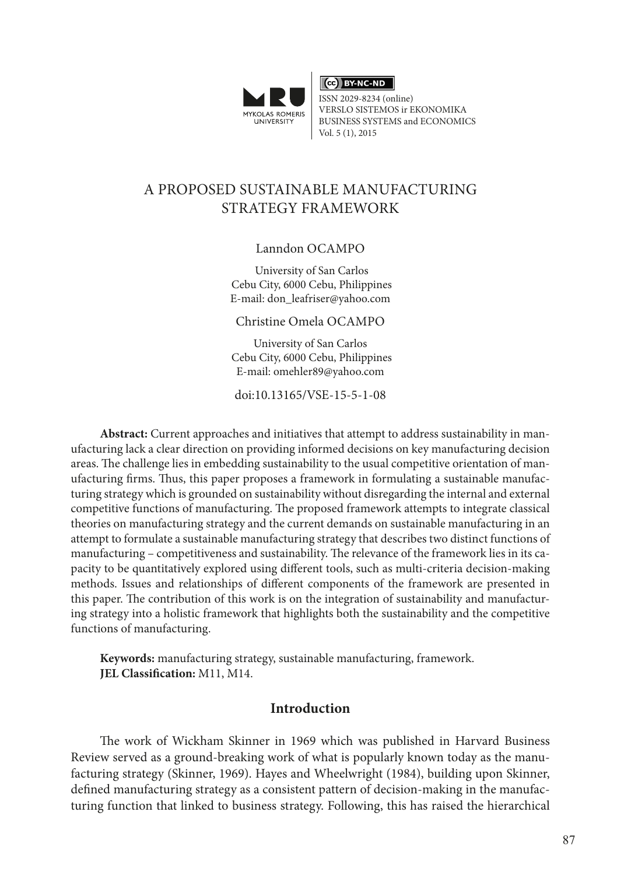

 $\overline{\text{ (ce)}}$  BY-NC-ND

ISSN 2029-8234 (online) VERSLO SISTEMOS ir EKONOMIKA BUSINESS SYSTEMS and ECONOMICS Vol. 5 (1), 2015

# A PROPOSED SUSTAINABLE MANUFACTURING STRATEGY FRAMEWORK

Lanndon OCAMPO

 University of San Carlos Cebu City, 6000 Cebu, Philippines E-mail: [don\\_leafriser@yahoo.com](mailto:don_leafriser@yahoo.com)

Christine Omela OCAMPO

University of San Carlos Cebu City, 6000 Cebu, Philippines E-mail: omehler89@yahoo.com

doi:10.13165/VSE-15-5-1-08

**Abstract:** Current approaches and initiatives that attempt to address sustainability in manufacturing lack a clear direction on providing informed decisions on key manufacturing decision areas. The challenge lies in embedding sustainability to the usual competitive orientation of manufacturing firms. Thus, this paper proposes a framework in formulating a sustainable manufacturing strategy which is grounded on sustainability without disregarding the internal and external competitive functions of manufacturing. The proposed framework attempts to integrate classical theories on manufacturing strategy and the current demands on sustainable manufacturing in an attempt to formulate a sustainable manufacturing strategy that describes two distinct functions of manufacturing – competitiveness and sustainability. The relevance of the framework lies in its capacity to be quantitatively explored using different tools, such as multi-criteria decision-making methods. Issues and relationships of different components of the framework are presented in this paper. The contribution of this work is on the integration of sustainability and manufacturing strategy into a holistic framework that highlights both the sustainability and the competitive functions of manufacturing.

**Keywords:** manufacturing strategy, sustainable manufacturing, framework. **JEL Classification:** M11, M14.

### **Introduction**

The work of Wickham Skinner in 1969 which was published in Harvard Business Review served as a ground-breaking work of what is popularly known today as the manufacturing strategy (Skinner, 1969). Hayes and Wheelwright (1984), building upon Skinner, defined manufacturing strategy as a consistent pattern of decision-making in the manufacturing function that linked to business strategy. Following, this has raised the hierarchical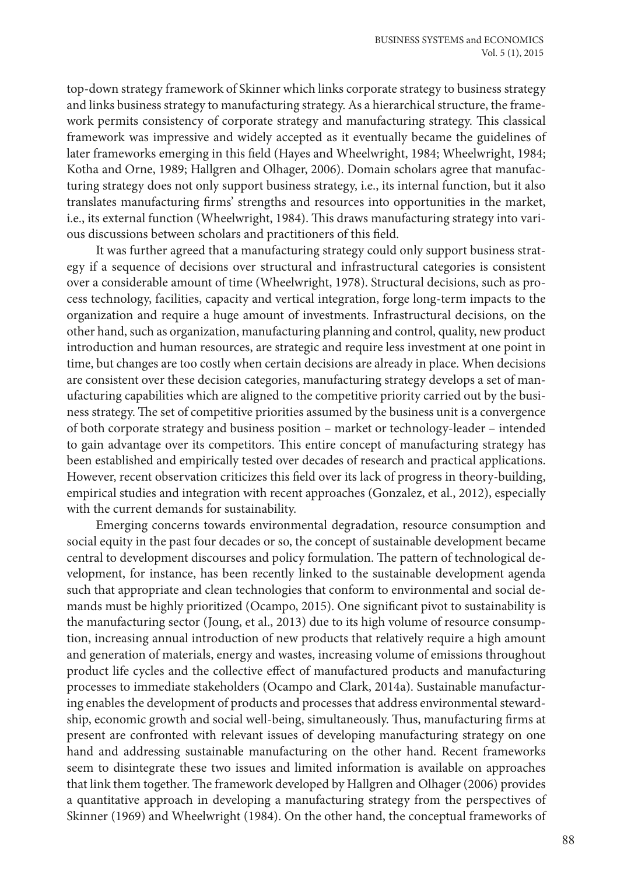top-down strategy framework of Skinner which links corporate strategy to business strategy and links business strategy to manufacturing strategy. As a hierarchical structure, the framework permits consistency of corporate strategy and manufacturing strategy. This classical framework was impressive and widely accepted as it eventually became the guidelines of later frameworks emerging in this field (Hayes and Wheelwright, 1984; Wheelwright, 1984; Kotha and Orne, 1989; Hallgren and Olhager, 2006). Domain scholars agree that manufacturing strategy does not only support business strategy, i.e., its internal function, but it also translates manufacturing firms' strengths and resources into opportunities in the market, i.e., its external function (Wheelwright, 1984). This draws manufacturing strategy into various discussions between scholars and practitioners of this field.

It was further agreed that a manufacturing strategy could only support business strategy if a sequence of decisions over structural and infrastructural categories is consistent over a considerable amount of time (Wheelwright, 1978). Structural decisions, such as process technology, facilities, capacity and vertical integration, forge long-term impacts to the organization and require a huge amount of investments. Infrastructural decisions, on the other hand, such as organization, manufacturing planning and control, quality, new product introduction and human resources, are strategic and require less investment at one point in time, but changes are too costly when certain decisions are already in place. When decisions are consistent over these decision categories, manufacturing strategy develops a set of manufacturing capabilities which are aligned to the competitive priority carried out by the business strategy. The set of competitive priorities assumed by the business unit is a convergence of both corporate strategy and business position – market or technology-leader – intended to gain advantage over its competitors. This entire concept of manufacturing strategy has been established and empirically tested over decades of research and practical applications. However, recent observation criticizes this field over its lack of progress in theory-building, empirical studies and integration with recent approaches (Gonzalez, et al., 2012), especially with the current demands for sustainability.

Emerging concerns towards environmental degradation, resource consumption and social equity in the past four decades or so, the concept of sustainable development became central to development discourses and policy formulation. The pattern of technological development, for instance, has been recently linked to the sustainable development agenda such that appropriate and clean technologies that conform to environmental and social demands must be highly prioritized (Ocampo, 2015). One significant pivot to sustainability is the manufacturing sector (Joung, et al., 2013) due to its high volume of resource consumption, increasing annual introduction of new products that relatively require a high amount and generation of materials, energy and wastes, increasing volume of emissions throughout product life cycles and the collective effect of manufactured products and manufacturing processes to immediate stakeholders (Ocampo and Clark, 2014a). Sustainable manufacturing enables the development of products and processes that address environmental stewardship, economic growth and social well-being, simultaneously. Thus, manufacturing firms at present are confronted with relevant issues of developing manufacturing strategy on one hand and addressing sustainable manufacturing on the other hand. Recent frameworks seem to disintegrate these two issues and limited information is available on approaches that link them together. The framework developed by Hallgren and Olhager (2006) provides a quantitative approach in developing a manufacturing strategy from the perspectives of Skinner (1969) and Wheelwright (1984). On the other hand, the conceptual frameworks of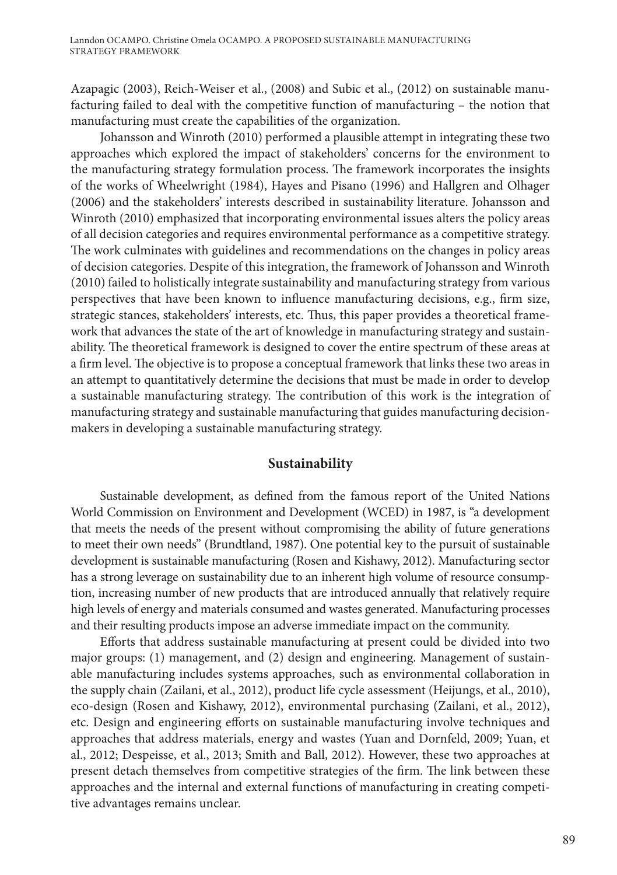Azapagic (2003), Reich-Weiser et al., (2008) and Subic et al., (2012) on sustainable manufacturing failed to deal with the competitive function of manufacturing – the notion that manufacturing must create the capabilities of the organization.

Johansson and Winroth (2010) performed a plausible attempt in integrating these two approaches which explored the impact of stakeholders' concerns for the environment to the manufacturing strategy formulation process. The framework incorporates the insights of the works of Wheelwright (1984), Hayes and Pisano (1996) and Hallgren and Olhager (2006) and the stakeholders' interests described in sustainability literature. Johansson and Winroth (2010) emphasized that incorporating environmental issues alters the policy areas of all decision categories and requires environmental performance as a competitive strategy. The work culminates with guidelines and recommendations on the changes in policy areas of decision categories. Despite of this integration, the framework of Johansson and Winroth (2010) failed to holistically integrate sustainability and manufacturing strategy from various perspectives that have been known to influence manufacturing decisions, e.g., firm size, strategic stances, stakeholders' interests, etc. Thus, this paper provides a theoretical framework that advances the state of the art of knowledge in manufacturing strategy and sustainability. The theoretical framework is designed to cover the entire spectrum of these areas at a firm level. The objective is to propose a conceptual framework that links these two areas in an attempt to quantitatively determine the decisions that must be made in order to develop a sustainable manufacturing strategy. The contribution of this work is the integration of manufacturing strategy and sustainable manufacturing that guides manufacturing decisionmakers in developing a sustainable manufacturing strategy.

#### **Sustainability**

Sustainable development, as defined from the famous report of the United Nations World Commission on Environment and Development (WCED) in 1987, is "a development that meets the needs of the present without compromising the ability of future generations to meet their own needs" (Brundtland, 1987). One potential key to the pursuit of sustainable development is sustainable manufacturing (Rosen and Kishawy, 2012). Manufacturing sector has a strong leverage on sustainability due to an inherent high volume of resource consumption, increasing number of new products that are introduced annually that relatively require high levels of energy and materials consumed and wastes generated. Manufacturing processes and their resulting products impose an adverse immediate impact on the community.

Efforts that address sustainable manufacturing at present could be divided into two major groups: (1) management, and (2) design and engineering. Management of sustainable manufacturing includes systems approaches, such as environmental collaboration in the supply chain (Zailani, et al., 2012), product life cycle assessment (Heijungs, et al., 2010), eco-design (Rosen and Kishawy, 2012), environmental purchasing (Zailani, et al., 2012), etc. Design and engineering efforts on sustainable manufacturing involve techniques and approaches that address materials, energy and wastes (Yuan and Dornfeld, 2009; Yuan, et al., 2012; Despeisse, et al., 2013; Smith and Ball, 2012). However, these two approaches at present detach themselves from competitive strategies of the firm. The link between these approaches and the internal and external functions of manufacturing in creating competitive advantages remains unclear.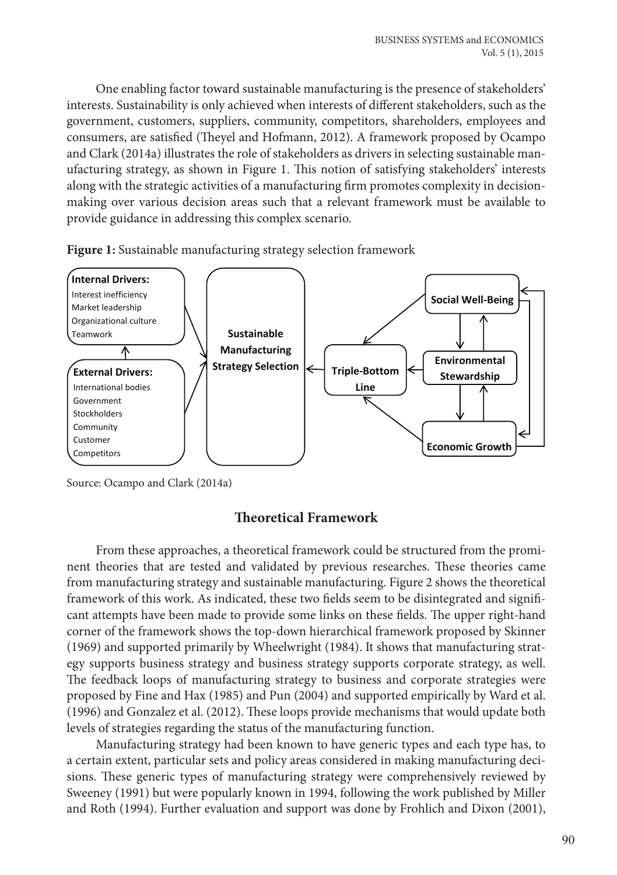One enabling factor toward sustainable manufacturing is the presence of stakeholders' interests. Sustainability is only achieved when interests of different stakeholders, such as the government, customers, suppliers, community, competitors, shareholders, employees and consumers, are satisfied (Theyel and Hofmann, 2012). A framework proposed by Ocampo and Clark (2014a) illustrates the role of stakeholders as drivers in selecting sustainable manufacturing strategy, as shown in Figure 1. This notion of satisfying stakeholders' interests along with the strategic activities of a manufacturing firm promotes complexity in decisionmaking over various decision areas such that a relevant framework must be available to provide guidance in addressing this complex scenario.





Source: Ocampo and Clark (2014a) Source: Ocampo and Clark (2014a)

# **Theoretical Framework**

nent theories that are tested and validated by previous researches. These theories came from manufacturing strategy and sustainable manufacturing. Figure 2 shows the theoretical ramework of this work. This indicated, these two nexts seem to be disintegrated and significant attempts have been made to provide some links on these fields. The upper right-hand corner of the framework shows the top-down hierarchical framework proposed by Skinner (1969) and supported primarily by Wheelwright (1984). It shows that manufacturing strat-Egy supports business strategy and business strategy supports corporate strategy, as went.<br>The feedback loops of manufacturing strategy to business and corporate strategies were proposed by Fine and Hax (1985) and Pun (2004) and supported empirically by Ward et al. (1996) and Gonzalez et al. (2012). These loops provide mechanisms that would update both From these approaches, a theoretical framework could be structured from the promiframework of this work. As indicated, these two fields seem to be disintegrated and signifiegy supports business strategy and business strategy supports corporate strategy, as well. levels of strategies regarding the status of the manufacturing function.

The feedback loops of manufacturing strategy to business and corporate strategies were Manufacturing strategy had been known to have generic types and each type has, to a certain extent, particular sets and policy areas considered in making manufacturing decisions. These generic types of manufacturing strategy were comprehensively reviewed by and Roth (1994). Further evaluation and support was done by Frohlich and Dixon (2001), Sweeney (1991) but were popularly known in 1994, following the work published by Miller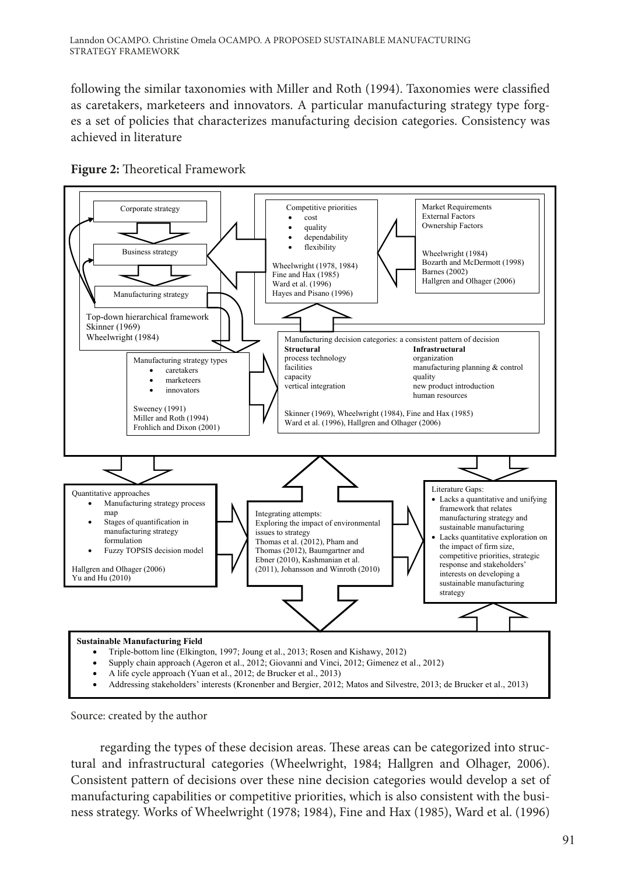following the similar taxonomies with Miller and Roth (1994). Taxonomies were classified as caretakers, marketeers and innovators. A particular manufacturing strategy type forges a set of policies that characterizes manufacturing decision categories. Consistency was achieved in literature





Source: created by the author

regarding the types of these decision areas. These areas can be categorized into structural and infrastructural categories (Wheelwright, 1984; Hallgren and Olhager, 2006). Consistent pattern of decisions over these nine decision categories would develop a set of manufacturing capabilities or competitive priorities, which is also consistent with the business strategy. Works of Wheelwright (1978; 1984), Fine and Hax (1985), Ward et al. (1996)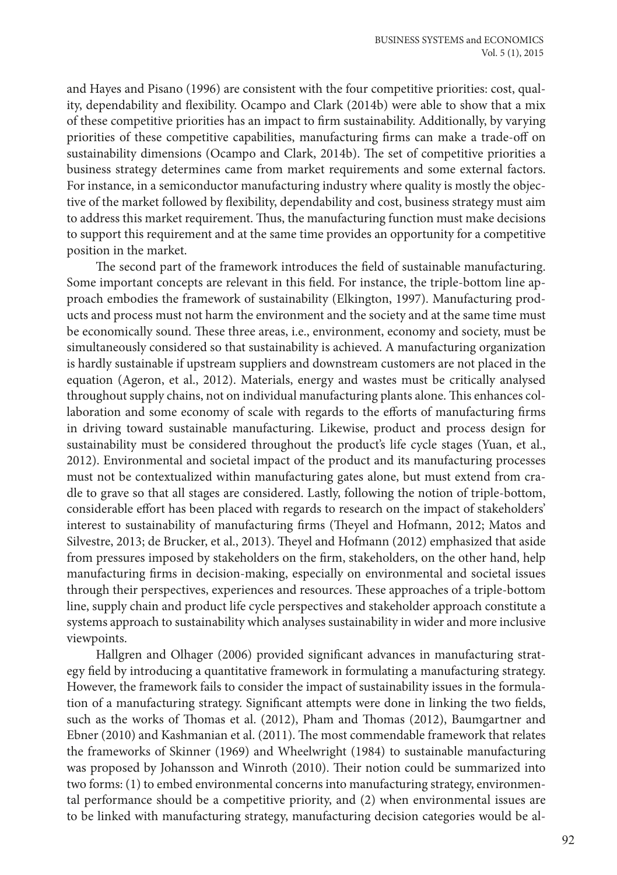and Hayes and Pisano (1996) are consistent with the four competitive priorities: cost, quality, dependability and flexibility. Ocampo and Clark (2014b) were able to show that a mix of these competitive priorities has an impact to firm sustainability. Additionally, by varying priorities of these competitive capabilities, manufacturing firms can make a trade-off on sustainability dimensions (Ocampo and Clark, 2014b). The set of competitive priorities a business strategy determines came from market requirements and some external factors. For instance, in a semiconductor manufacturing industry where quality is mostly the objective of the market followed by flexibility, dependability and cost, business strategy must aim to address this market requirement. Thus, the manufacturing function must make decisions to support this requirement and at the same time provides an opportunity for a competitive position in the market.

The second part of the framework introduces the field of sustainable manufacturing. Some important concepts are relevant in this field. For instance, the triple-bottom line approach embodies the framework of sustainability (Elkington, 1997). Manufacturing products and process must not harm the environment and the society and at the same time must be economically sound. These three areas, i.e., environment, economy and society, must be simultaneously considered so that sustainability is achieved. A manufacturing organization is hardly sustainable if upstream suppliers and downstream customers are not placed in the equation (Ageron, et al., 2012). Materials, energy and wastes must be critically analysed throughout supply chains, not on individual manufacturing plants alone. This enhances collaboration and some economy of scale with regards to the efforts of manufacturing firms in driving toward sustainable manufacturing. Likewise, product and process design for sustainability must be considered throughout the product's life cycle stages (Yuan, et al., 2012). Environmental and societal impact of the product and its manufacturing processes must not be contextualized within manufacturing gates alone, but must extend from cradle to grave so that all stages are considered. Lastly, following the notion of triple-bottom, considerable effort has been placed with regards to research on the impact of stakeholders' interest to sustainability of manufacturing firms (Theyel and Hofmann, 2012; Matos and Silvestre, 2013; de Brucker, et al., 2013). Theyel and Hofmann (2012) emphasized that aside from pressures imposed by stakeholders on the firm, stakeholders, on the other hand, help manufacturing firms in decision-making, especially on environmental and societal issues through their perspectives, experiences and resources. These approaches of a triple-bottom line, supply chain and product life cycle perspectives and stakeholder approach constitute a systems approach to sustainability which analyses sustainability in wider and more inclusive viewpoints.

Hallgren and Olhager (2006) provided significant advances in manufacturing strategy field by introducing a quantitative framework in formulating a manufacturing strategy. However, the framework fails to consider the impact of sustainability issues in the formulation of a manufacturing strategy. Significant attempts were done in linking the two fields, such as the works of Thomas et al. (2012), Pham and Thomas (2012), Baumgartner and Ebner (2010) and Kashmanian et al. (2011). The most commendable framework that relates the frameworks of Skinner (1969) and Wheelwright (1984) to sustainable manufacturing was proposed by Johansson and Winroth (2010). Their notion could be summarized into two forms: (1) to embed environmental concerns into manufacturing strategy, environmental performance should be a competitive priority, and (2) when environmental issues are to be linked with manufacturing strategy, manufacturing decision categories would be al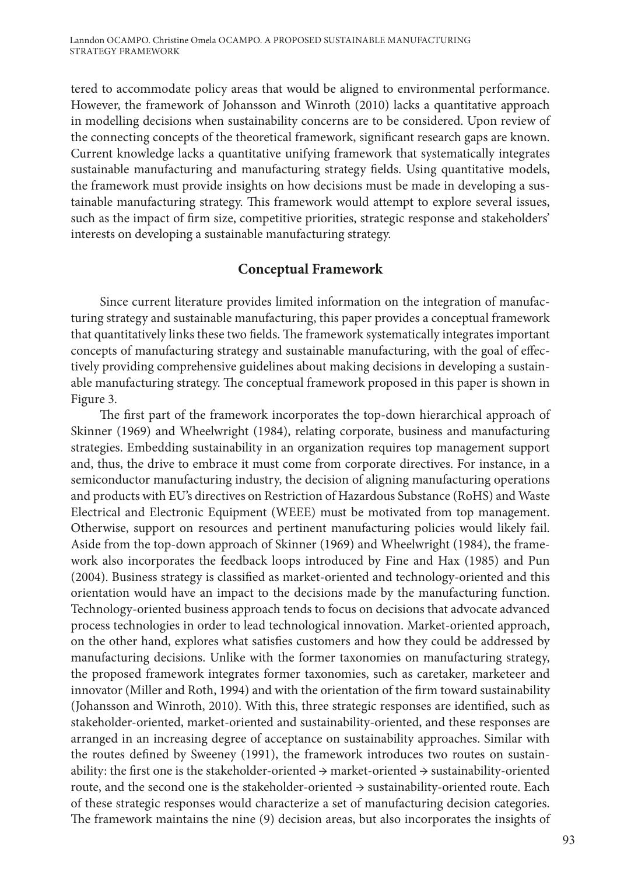tered to accommodate policy areas that would be aligned to environmental performance. However, the framework of Johansson and Winroth (2010) lacks a quantitative approach in modelling decisions when sustainability concerns are to be considered. Upon review of the connecting concepts of the theoretical framework, significant research gaps are known. Current knowledge lacks a quantitative unifying framework that systematically integrates sustainable manufacturing and manufacturing strategy fields. Using quantitative models, the framework must provide insights on how decisions must be made in developing a sustainable manufacturing strategy. This framework would attempt to explore several issues, such as the impact of firm size, competitive priorities, strategic response and stakeholders' interests on developing a sustainable manufacturing strategy.

## **Conceptual Framework**

Since current literature provides limited information on the integration of manufacturing strategy and sustainable manufacturing, this paper provides a conceptual framework that quantitatively links these two fields. The framework systematically integrates important concepts of manufacturing strategy and sustainable manufacturing, with the goal of effectively providing comprehensive guidelines about making decisions in developing a sustainable manufacturing strategy. The conceptual framework proposed in this paper is shown in Figure 3.

The first part of the framework incorporates the top-down hierarchical approach of Skinner (1969) and Wheelwright (1984), relating corporate, business and manufacturing strategies. Embedding sustainability in an organization requires top management support and, thus, the drive to embrace it must come from corporate directives. For instance, in a semiconductor manufacturing industry, the decision of aligning manufacturing operations and products with EU's directives on Restriction of Hazardous Substance (RoHS) and Waste Electrical and Electronic Equipment (WEEE) must be motivated from top management. Otherwise, support on resources and pertinent manufacturing policies would likely fail. Aside from the top-down approach of Skinner (1969) and Wheelwright (1984), the framework also incorporates the feedback loops introduced by Fine and Hax (1985) and Pun (2004). Business strategy is classified as market-oriented and technology-oriented and this orientation would have an impact to the decisions made by the manufacturing function. Technology-oriented business approach tends to focus on decisions that advocate advanced process technologies in order to lead technological innovation. Market-oriented approach, on the other hand, explores what satisfies customers and how they could be addressed by manufacturing decisions. Unlike with the former taxonomies on manufacturing strategy, the proposed framework integrates former taxonomies, such as caretaker, marketeer and innovator (Miller and Roth, 1994) and with the orientation of the firm toward sustainability (Johansson and Winroth, 2010). With this, three strategic responses are identified, such as stakeholder-oriented, market-oriented and sustainability-oriented, and these responses are arranged in an increasing degree of acceptance on sustainability approaches. Similar with the routes defined by Sweeney (1991), the framework introduces two routes on sustainability: the first one is the stakeholder-oriented  $\rightarrow$  market-oriented  $\rightarrow$  sustainability-oriented route, and the second one is the stakeholder-oriented → sustainability-oriented route. Each of these strategic responses would characterize a set of manufacturing decision categories. The framework maintains the nine (9) decision areas, but also incorporates the insights of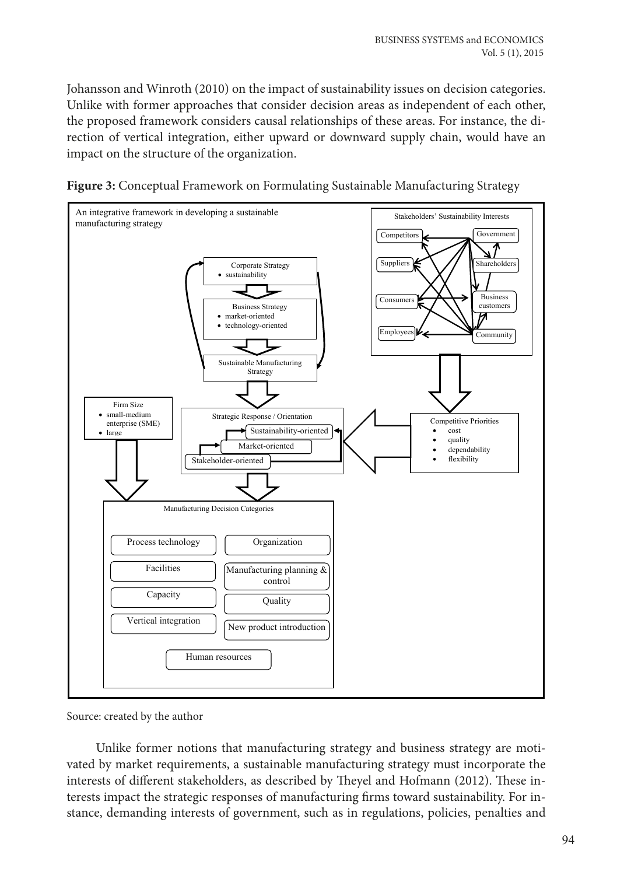Johansson and Winroth (2010) on the impact of sustainability issues on decision categories. Unlike with former approaches that consider decision areas as independent of each other, the proposed framework considers causal relationships of these areas. For instance, the direction of vertical integration, either upward or downward supply chain, would have an impact on the structure of the organization.





Source: created by the author

Unlike former notions that manufacturing strategy and business strategy are motivated by market requirements, a sustainable manufacturing strategy must incorporate the interests of different stakeholders, as described by Theyel and Hofmann (2012). These interests impact the strategic responses of manufacturing firms toward sustainability. For instance, demanding interests of government, such as in regulations, policies, penalties and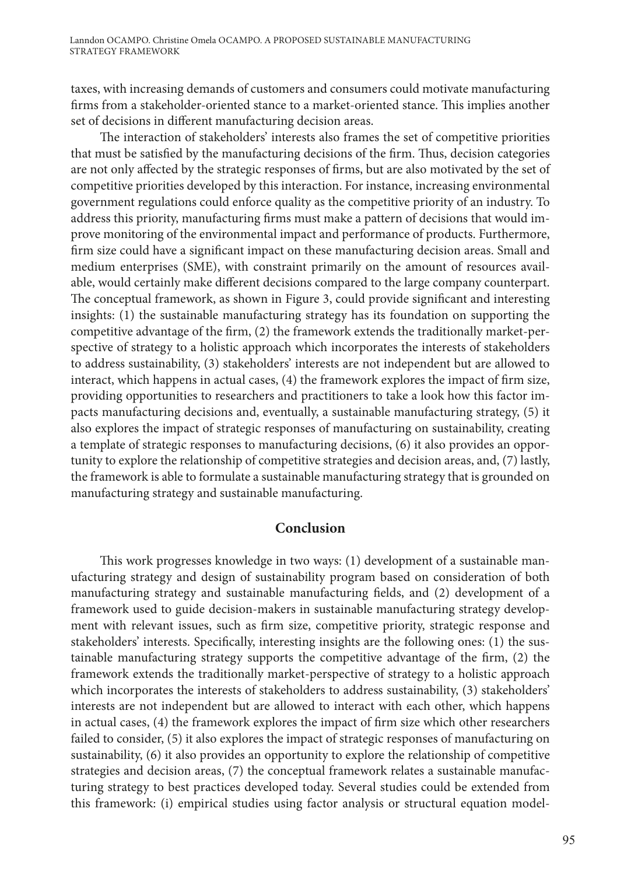taxes, with increasing demands of customers and consumers could motivate manufacturing firms from a stakeholder-oriented stance to a market-oriented stance. This implies another set of decisions in different manufacturing decision areas.

The interaction of stakeholders' interests also frames the set of competitive priorities that must be satisfied by the manufacturing decisions of the firm. Thus, decision categories are not only affected by the strategic responses of firms, but are also motivated by the set of competitive priorities developed by this interaction. For instance, increasing environmental government regulations could enforce quality as the competitive priority of an industry. To address this priority, manufacturing firms must make a pattern of decisions that would improve monitoring of the environmental impact and performance of products. Furthermore, firm size could have a significant impact on these manufacturing decision areas. Small and medium enterprises (SME), with constraint primarily on the amount of resources available, would certainly make different decisions compared to the large company counterpart. The conceptual framework, as shown in Figure 3, could provide significant and interesting insights: (1) the sustainable manufacturing strategy has its foundation on supporting the competitive advantage of the firm, (2) the framework extends the traditionally market-perspective of strategy to a holistic approach which incorporates the interests of stakeholders to address sustainability, (3) stakeholders' interests are not independent but are allowed to interact, which happens in actual cases, (4) the framework explores the impact of firm size, providing opportunities to researchers and practitioners to take a look how this factor impacts manufacturing decisions and, eventually, a sustainable manufacturing strategy, (5) it also explores the impact of strategic responses of manufacturing on sustainability, creating a template of strategic responses to manufacturing decisions, (6) it also provides an opportunity to explore the relationship of competitive strategies and decision areas, and, (7) lastly, the framework is able to formulate a sustainable manufacturing strategy that is grounded on manufacturing strategy and sustainable manufacturing.

### **Conclusion**

This work progresses knowledge in two ways: (1) development of a sustainable manufacturing strategy and design of sustainability program based on consideration of both manufacturing strategy and sustainable manufacturing fields, and (2) development of a framework used to guide decision-makers in sustainable manufacturing strategy development with relevant issues, such as firm size, competitive priority, strategic response and stakeholders' interests. Specifically, interesting insights are the following ones: (1) the sustainable manufacturing strategy supports the competitive advantage of the firm, (2) the framework extends the traditionally market-perspective of strategy to a holistic approach which incorporates the interests of stakeholders to address sustainability, (3) stakeholders' interests are not independent but are allowed to interact with each other, which happens in actual cases, (4) the framework explores the impact of firm size which other researchers failed to consider, (5) it also explores the impact of strategic responses of manufacturing on sustainability, (6) it also provides an opportunity to explore the relationship of competitive strategies and decision areas, (7) the conceptual framework relates a sustainable manufacturing strategy to best practices developed today. Several studies could be extended from this framework: (i) empirical studies using factor analysis or structural equation model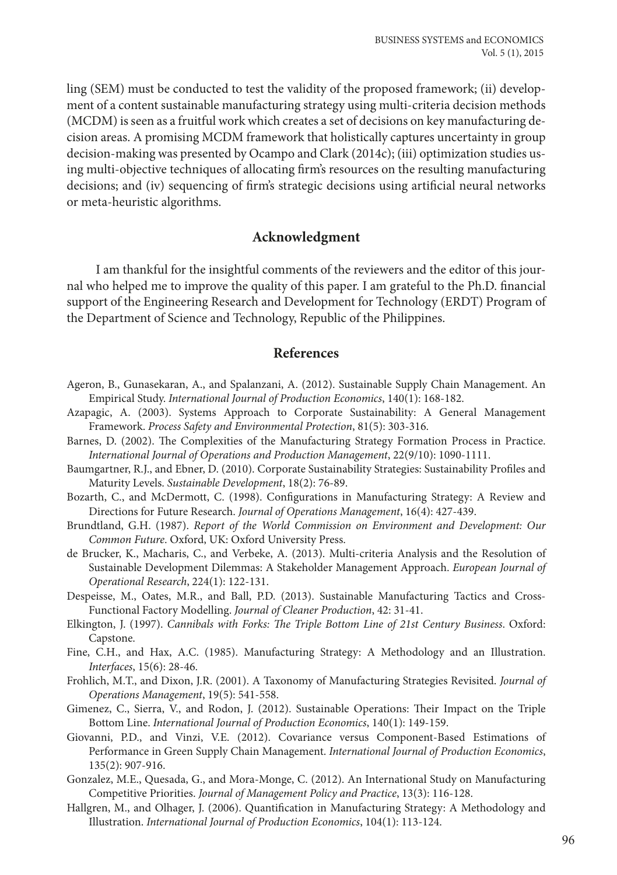ling (SEM) must be conducted to test the validity of the proposed framework; (ii) development of a content sustainable manufacturing strategy using multi-criteria decision methods (MCDM) is seen as a fruitful work which creates a set of decisions on key manufacturing decision areas. A promising MCDM framework that holistically captures uncertainty in group decision-making was presented by Ocampo and Clark (2014c); (iii) optimization studies using multi-objective techniques of allocating firm's resources on the resulting manufacturing decisions; and (iv) sequencing of firm's strategic decisions using artificial neural networks or meta-heuristic algorithms.

### **Acknowledgment**

I am thankful for the insightful comments of the reviewers and the editor of this journal who helped me to improve the quality of this paper. I am grateful to the Ph.D. financial support of the Engineering Research and Development for Technology (ERDT) Program of the Department of Science and Technology, Republic of the Philippines.

#### **References**

- Ageron, B., Gunasekaran, A., and Spalanzani, A. (2012). Sustainable Supply Chain Management. An Empirical Study. *International Journal of Production Economics*, 140(1): 168-182.
- Azapagic, A. (2003). Systems Approach to Corporate Sustainability: A General Management Framework. *Process Safety and Environmental Protection*, 81(5): 303-316.
- Barnes, D. (2002). The Complexities of the Manufacturing Strategy Formation Process in Practice. *International Journal of Operations and Production Management*, 22(9/10): 1090-1111.
- Baumgartner, R.J., and Ebner, D. (2010). Corporate Sustainability Strategies: Sustainability Profiles and Maturity Levels. *Sustainable Development*, 18(2): 76-89.
- Bozarth, C., and McDermott, C. (1998). Configurations in Manufacturing Strategy: A Review and Directions for Future Research. *Journal of Operations Management*, 16(4): 427-439.
- Brundtland, G.H. (1987). *Report of the World Commission on Environment and Development: Our Common Future*. Oxford, UK: Oxford University Press.
- de Brucker, K., Macharis, C., and Verbeke, A. (2013). Multi-criteria Analysis and the Resolution of Sustainable Development Dilemmas: A Stakeholder Management Approach. *European Journal of Operational Research*, 224(1): 122-131.
- Despeisse, M., Oates, M.R., and Ball, P.D. (2013). Sustainable Manufacturing Tactics and Cross-Functional Factory Modelling. *Journal of Cleaner Production*, 42: 31-41.
- Elkington, J. (1997). *Cannibals with Forks: The Triple Bottom Line of 21st Century Business*. Oxford: Capstone.
- Fine, C.H., and Hax, A.C. (1985). Manufacturing Strategy: A Methodology and an Illustration. *Interfaces*, 15(6): 28-46.
- Frohlich, M.T., and Dixon, J.R. (2001). A Taxonomy of Manufacturing Strategies Revisited. *Journal of Operations Management*, 19(5): 541-558.
- Gimenez, C., Sierra, V., and Rodon, J. (2012). Sustainable Operations: Their Impact on the Triple Bottom Line. *International Journal of Production Economics*, 140(1): 149-159.
- Giovanni, P.D., and Vinzi, V.E. (2012). Covariance versus Component-Based Estimations of Performance in Green Supply Chain Management. *International Journal of Production Economics*, 135(2): 907-916.
- Gonzalez, M.E., Quesada, G., and Mora-Monge, C. (2012). An International Study on Manufacturing Competitive Priorities. *Journal of Management Policy and Practice*, 13(3): 116-128.
- Hallgren, M., and Olhager, J. (2006). Quantification in Manufacturing Strategy: A Methodology and Illustration. *International Journal of Production Economics*, 104(1): 113-124.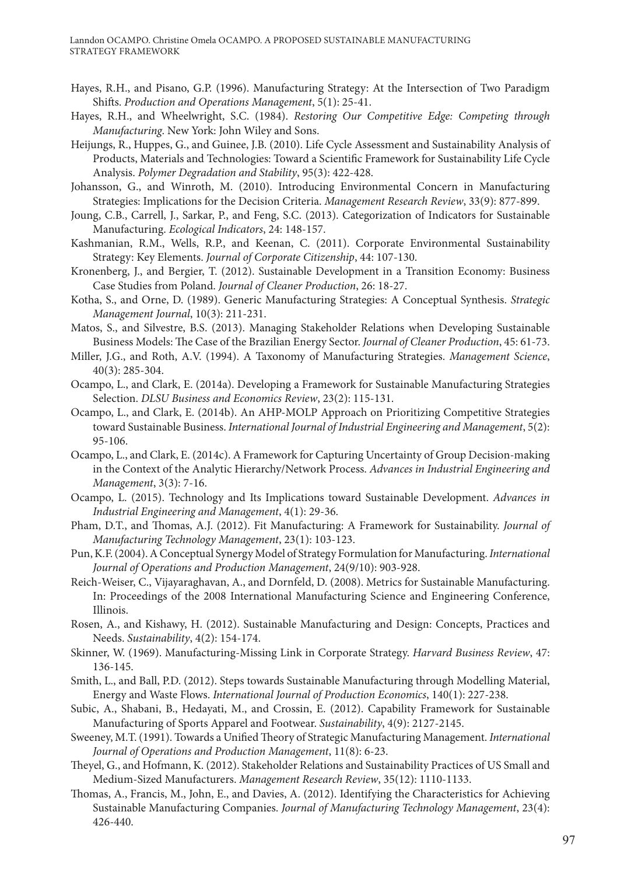- Hayes, R.H., and Pisano, G.P. (1996). Manufacturing Strategy: At the Intersection of Two Paradigm Shifts. *Production and Operations Management*, 5(1): 25-41.
- Hayes, R.H., and Wheelwright, S.C. (1984). *Restoring Our Competitive Edge: Competing through Manufacturing*. New York: John Wiley and Sons.
- Heijungs, R., Huppes, G., and Guinee, J.B. (2010). Life Cycle Assessment and Sustainability Analysis of Products, Materials and Technologies: Toward a Scientific Framework for Sustainability Life Cycle Analysis. *Polymer Degradation and Stability*, 95(3): 422-428.
- Johansson, G., and Winroth, M. (2010). Introducing Environmental Concern in Manufacturing Strategies: Implications for the Decision Criteria. *Management Research Review*, 33(9): 877-899.
- Joung, C.B., Carrell, J., Sarkar, P., and Feng, S.C. (2013). Categorization of Indicators for Sustainable Manufacturing. *Ecological Indicators*, 24: 148-157.
- Kashmanian, R.M., Wells, R.P., and Keenan, C. (2011). Corporate Environmental Sustainability Strategy: Key Elements. *Journal of Corporate Citizenship*, 44: 107-130.
- Kronenberg, J., and Bergier, T. (2012). Sustainable Development in a Transition Economy: Business Case Studies from Poland. *Journal of Cleaner Production*, 26: 18-27.
- Kotha, S., and Orne, D. (1989). Generic Manufacturing Strategies: A Conceptual Synthesis. *Strategic Management Journal*, 10(3): 211-231.
- Matos, S., and Silvestre, B.S. (2013). Managing Stakeholder Relations when Developing Sustainable Business Models: The Case of the Brazilian Energy Sector. *Journal of Cleaner Production*, 45: 61-73.
- Miller, J.G., and Roth, A.V. (1994). A Taxonomy of Manufacturing Strategies. *Management Science*, 40(3): 285-304.
- Ocampo, L., and Clark, E. (2014a). Developing a Framework for Sustainable Manufacturing Strategies Selection. *DLSU Business and Economics Review*, 23(2): 115-131.
- Ocampo, L., and Clark, E. (2014b). An AHP-MOLP Approach on Prioritizing Competitive Strategies toward Sustainable Business. *International Journal of Industrial Engineering and Management*, 5(2): 95-106.
- Ocampo, L., and Clark, E. (2014c). A Framework for Capturing Uncertainty of Group Decision-making in the Context of the Analytic Hierarchy/Network Process. *Advances in Industrial Engineering and Management*, 3(3): 7-16.
- Ocampo, L. (2015). Technology and Its Implications toward Sustainable Development. *Advances in Industrial Engineering and Management*, 4(1): 29-36.
- Pham, D.T., and Thomas, A.J. (2012). Fit Manufacturing: A Framework for Sustainability. *Journal of Manufacturing Technology Management*, 23(1): 103-123.
- Pun, K.F. (2004). A Conceptual Synergy Model of Strategy Formulation for Manufacturing. *International Journal of Operations and Production Management*, 24(9/10): 903-928.
- Reich-Weiser, C., Vijayaraghavan, A., and Dornfeld, D. (2008). Metrics for Sustainable Manufacturing. In: Proceedings of the 2008 International Manufacturing Science and Engineering Conference, Illinois.
- Rosen, A., and Kishawy, H. (2012). Sustainable Manufacturing and Design: Concepts, Practices and Needs. *Sustainability*, 4(2): 154-174.
- Skinner, W. (1969). Manufacturing-Missing Link in Corporate Strategy. *Harvard Business Review*, 47: 136-145.
- Smith, L., and Ball, P.D. (2012). Steps towards Sustainable Manufacturing through Modelling Material, Energy and Waste Flows. *International Journal of Production Economics*, 140(1): 227-238.
- Subic, A., Shabani, B., Hedayati, M., and Crossin, E. (2012). Capability Framework for Sustainable Manufacturing of Sports Apparel and Footwear. *Sustainability*, 4(9): 2127-2145.
- Sweeney, M.T. (1991). Towards a Unified Theory of Strategic Manufacturing Management. *International Journal of Operations and Production Management*, 11(8): 6-23.
- Theyel, G., and Hofmann, K. (2012). Stakeholder Relations and Sustainability Practices of US Small and Medium-Sized Manufacturers. *Management Research Review*, 35(12): 1110-1133.
- Thomas, A., Francis, M., John, E., and Davies, A. (2012). Identifying the Characteristics for Achieving Sustainable Manufacturing Companies. *Journal of Manufacturing Technology Management*, 23(4): 426-440.